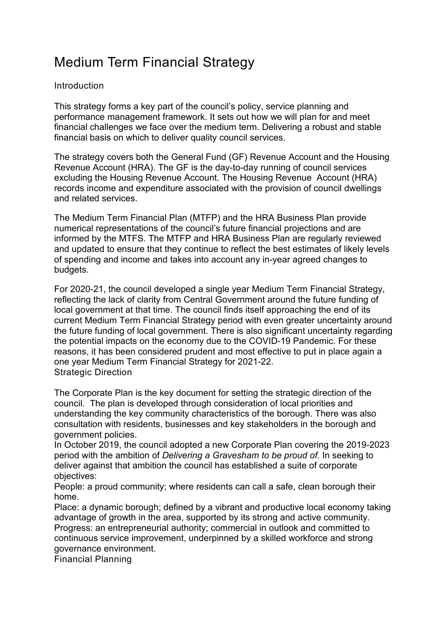## Medium Term Financial Strategy

## Introduction

This strategy forms a key part of the council's policy, service planning and performance management framework. It sets out how we will plan for and meet financial challenges we face over the medium term. Delivering a robust and stable financial basis on which to deliver quality council services.

The strategy covers both the General Fund (GF) Revenue Account and the Housing Revenue Account (HRA). The GF is the day-to-day running of council services excluding the Housing Revenue Account. The Housing Revenue Account (HRA) records income and expenditure associated with the provision of council dwellings and related services.

The Medium Term Financial Plan (MTFP) and the HRA Business Plan provide numerical representations of the council's future financial projections and are informed by the MTFS. The MTFP and HRA Business Plan are regularly reviewed and updated to ensure that they continue to reflect the best estimates of likely levels of spending and income and takes into account any in-year agreed changes to budgets.

For 2020-21, the council developed a single year Medium Term Financial Strategy, reflecting the lack of clarity from Central Government around the future funding of local government at that time. The council finds itself approaching the end of its current Medium Term Financial Strategy period with even greater uncertainty around the future funding of local government. There is also significant uncertainty regarding the potential impacts on the economy due to the COVID-19 Pandemic. For these reasons, it has been considered prudent and most effective to put in place again a one year Medium Term Financial Strategy for 2021-22. Strategic Direction

The Corporate Plan is the key document for setting the strategic direction of the council. The plan is developed through consideration of local priorities and understanding the key community characteristics of the borough. There was also consultation with residents, businesses and key stakeholders in the borough and government policies.

In October 2019, the council adopted a new Corporate Plan covering the 2019-2023 period with the ambition of *Delivering a Gravesham to be proud of.* In seeking to deliver against that ambition the council has established a suite of corporate objectives:

People: a proud community; where residents can call a safe, clean borough their home.

Place: a dynamic borough; defined by a vibrant and productive local economy taking advantage of growth in the area, supported by its strong and active community. Progress: an entrepreneurial authority; commercial in outlook and committed to continuous service improvement, underpinned by a skilled workforce and strong governance environment.

Financial Planning